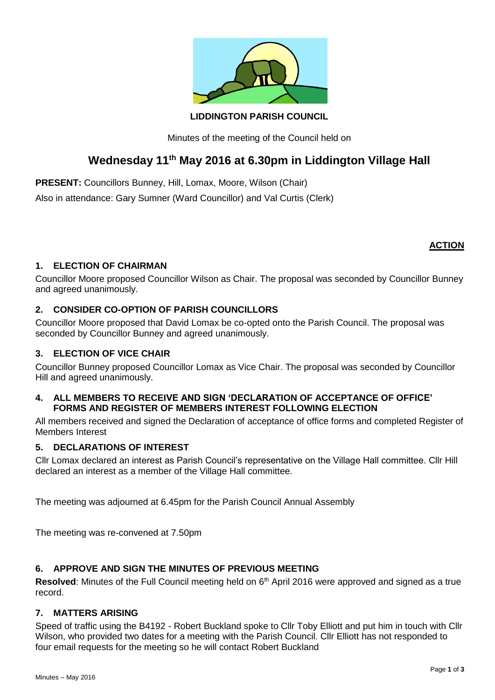

## **LIDDINGTON PARISH COUNCIL**

Minutes of the meeting of the Council held on

# **Wednesday 11th May 2016 at 6.30pm in Liddington Village Hall**

**PRESENT:** Councillors Bunney, Hill, Lomax, Moore, Wilson (Chair)

Also in attendance: Gary Sumner (Ward Councillor) and Val Curtis (Clerk)

# **ACTION**

# **1. ELECTION OF CHAIRMAN**

Councillor Moore proposed Councillor Wilson as Chair. The proposal was seconded by Councillor Bunney and agreed unanimously.

## **2. CONSIDER CO-OPTION OF PARISH COUNCILLORS**

Councillor Moore proposed that David Lomax be co-opted onto the Parish Council. The proposal was seconded by Councillor Bunney and agreed unanimously.

# **3. ELECTION OF VICE CHAIR**

Councillor Bunney proposed Councillor Lomax as Vice Chair. The proposal was seconded by Councillor Hill and agreed unanimously.

## **4. ALL MEMBERS TO RECEIVE AND SIGN 'DECLARATION OF ACCEPTANCE OF OFFICE' FORMS AND REGISTER OF MEMBERS INTEREST FOLLOWING ELECTION**

All members received and signed the Declaration of acceptance of office forms and completed Register of Members Interest

# **5. DECLARATIONS OF INTEREST**

Cllr Lomax declared an interest as Parish Council's representative on the Village Hall committee. Cllr Hill declared an interest as a member of the Village Hall committee.

The meeting was adjourned at 6.45pm for the Parish Council Annual Assembly

The meeting was re-convened at 7.50pm

# **6. APPROVE AND SIGN THE MINUTES OF PREVIOUS MEETING**

Resolved: Minutes of the Full Council meeting held on 6<sup>th</sup> April 2016 were approved and signed as a true record.

## **7. MATTERS ARISING**

Speed of traffic using the B4192 - Robert Buckland spoke to Cllr Toby Elliott and put him in touch with Cllr Wilson, who provided two dates for a meeting with the Parish Council. Cllr Elliott has not responded to four email requests for the meeting so he will contact Robert Buckland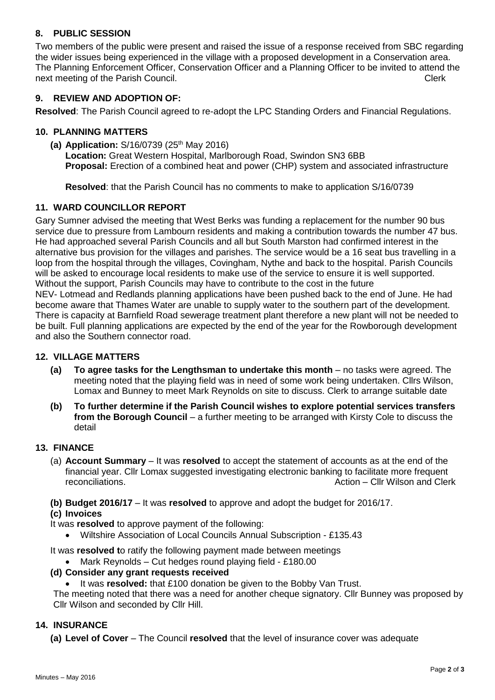# **8. PUBLIC SESSION**

Two members of the public were present and raised the issue of a response received from SBC regarding the wider issues being experienced in the village with a proposed development in a Conservation area. The Planning Enforcement Officer, Conservation Officer and a Planning Officer to be invited to attend the next meeting of the Parish Council. Clerk

## **9. REVIEW AND ADOPTION OF:**

**Resolved**: The Parish Council agreed to re-adopt the LPC Standing Orders and Financial Regulations.

#### **10. PLANNING MATTERS**

**(a) Application:** S/16/0739 (25th May 2016) **Location:** Great Western Hospital, Marlborough Road, Swindon SN3 6BB **Proposal:** Erection of a combined heat and power (CHP) system and associated infrastructure

**Resolved**: that the Parish Council has no comments to make to application S/16/0739

#### **11. WARD COUNCILLOR REPORT**

Gary Sumner advised the meeting that West Berks was funding a replacement for the number 90 bus service due to pressure from Lambourn residents and making a contribution towards the number 47 bus. He had approached several Parish Councils and all but South Marston had confirmed interest in the alternative bus provision for the villages and parishes. The service would be a 16 seat bus travelling in a loop from the hospital through the villages, Covingham, Nythe and back to the hospital. Parish Councils will be asked to encourage local residents to make use of the service to ensure it is well supported. Without the support, Parish Councils may have to contribute to the cost in the future NEV- Lotmead and Redlands planning applications have been pushed back to the end of June. He had become aware that Thames Water are unable to supply water to the southern part of the development. There is capacity at Barnfield Road sewerage treatment plant therefore a new plant will not be needed to be built. Full planning applications are expected by the end of the year for the Rowborough development and also the Southern connector road.

#### **12. VILLAGE MATTERS**

- **(a) To agree tasks for the Lengthsman to undertake this month** no tasks were agreed. The meeting noted that the playing field was in need of some work being undertaken. Cllrs Wilson, Lomax and Bunney to meet Mark Reynolds on site to discuss. Clerk to arrange suitable date
- **(b) To further determine if the Parish Council wishes to explore potential services transfers from the Borough Council** – a further meeting to be arranged with Kirsty Cole to discuss the detail

#### **13. FINANCE**

- (a) **Account Summary** It was **resolved** to accept the statement of accounts as at the end of the financial year. Cllr Lomax suggested investigating electronic banking to facilitate more frequent reconciliations. Action – Cllr Wilson and Clerk
- **(b) Budget 2016/17** It was **resolved** to approve and adopt the budget for 2016/17.
- **(c) Invoices**
- It was **resolved** to approve payment of the following:
	- Wiltshire Association of Local Councils Annual Subscription £135.43

It was **resolved t**o ratify the following payment made between meetings

Mark Reynolds – Cut hedges round playing field - £180.00

#### **(d) Consider any grant requests received**

It was **resolved:** that £100 donation be given to the Bobby Van Trust.

The meeting noted that there was a need for another cheque signatory. Cllr Bunney was proposed by Cllr Wilson and seconded by Cllr Hill.

#### **14. INSURANCE**

**(a) Level of Cover** – The Council **resolved** that the level of insurance cover was adequate